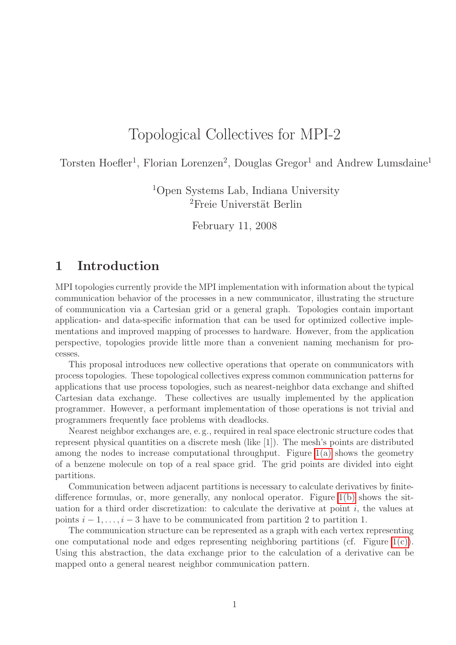# Topological Collectives for MPI-2

Torsten Hoefler<sup>1</sup>, Florian Lorenzen<sup>2</sup>, Douglas Gregor<sup>1</sup> and Andrew Lumsdaine<sup>1</sup>

<sup>1</sup>Open Systems Lab, Indiana University  ${}^{2}$ Freie Universtät Berlin

February 11, 2008

### 1 Introduction

MPI topologies currently provide the MPI implementation with information about the typical communication behavior of the processes in a new communicator, illustrating the structure of communication via a Cartesian grid or a general graph. Topologies contain important application- and data-specific information that can be used for optimized collective implementations and improved mapping of processes to hardware. However, from the application perspective, topologies provide little more than a convenient naming mechanism for processes.

This proposal introduces new collective operations that operate on communicators with process topologies. These topological collectives express common communication patterns for applications that use process topologies, such as nearest-neighbor data exchange and shifted Cartesian data exchange. These collectives are usually implemented by the application programmer. However, a performant implementation of those operations is not trivial and programmers frequently face problems with deadlocks.

Nearest neighbor exchanges are, e. g., required in real space electronic structure codes that represent physical quantities on a discrete mesh (like [1]). The mesh's points are distributed among the nodes to increase computational throughput. Figure  $1(a)$  shows the geometry of a benzene molecule on top of a real space grid. The grid points are divided into eight partitions.

Communication between adjacent partitions is necessary to calculate derivatives by finitedifference formulas, or, more generally, any nonlocal operator. Figure [1\(b\)](#page-1-1) shows the situation for a third order discretization: to calculate the derivative at point  $i$ , the values at points  $i-1, \ldots, i-3$  have to be communicated from partition 2 to partition 1.

The communication structure can be represented as a graph with each vertex representing one computational node and edges representing neighboring partitions (cf. Figure  $1(c)$ ). Using this abstraction, the data exchange prior to the calculation of a derivative can be mapped onto a general nearest neighbor communication pattern.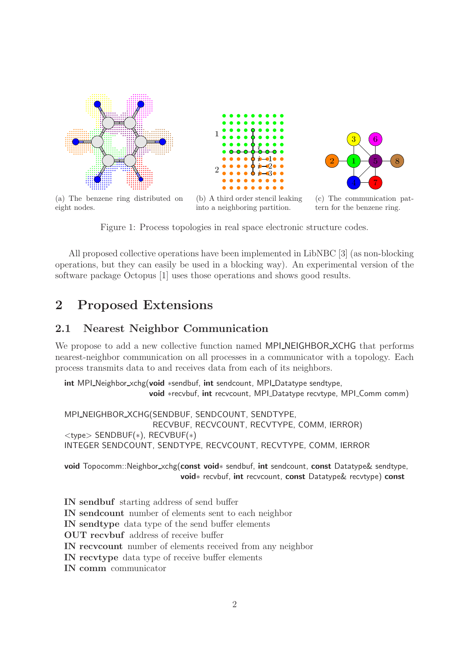<span id="page-1-0"></span>



(a) The benzene ring distributed on eight nodes.

<span id="page-1-1"></span>(b) A third order stencil leaking into a neighboring partition.



<span id="page-1-2"></span>(c) The communication pattern for the benzene ring.

Figure 1: Process topologies in real space electronic structure codes.

All proposed collective operations have been implemented in LibNBC [3] (as non-blocking operations, but they can easily be used in a blocking way). An experimental version of the software package Octopus [1] uses those operations and shows good results.

### 2 Proposed Extensions

#### 2.1 Nearest Neighbor Communication

We propose to add a new collective function named **MPI\_NEIGHBOR\_XCHG** that performs nearest-neighbor communication on all processes in a communicator with a topology. Each process transmits data to and receives data from each of its neighbors.

int MPI\_Neighbor\_xchg(void \*sendbuf, int sendcount, MPI\_Datatype sendtype, void ∗recvbuf, int recvcount, MPI Datatype recvtype, MPI Comm comm)

MPI\_NEIGHBOR\_XCHG(SENDBUF, SENDCOUNT, SENDTYPE, RECVBUF, RECVCOUNT, RECVTYPE, COMM, IERROR) <type> SENDBUF(∗), RECVBUF(∗) INTEGER SENDCOUNT, SENDTYPE, RECVCOUNT, RECVTYPE, COMM, IERROR

void Topocomm::Neighbor xchg(const void∗ sendbuf, int sendcount, const Datatype& sendtype, void∗ recvbuf, int recvcount, const Datatype& recvtype) const

IN sendbuf starting address of send buffer IN sendcount number of elements sent to each neighbor IN sendtype data type of the send buffer elements OUT recvbuf address of receive buffer IN recvcount number of elements received from any neighbor IN recvtype data type of receive buffer elements IN comm communicator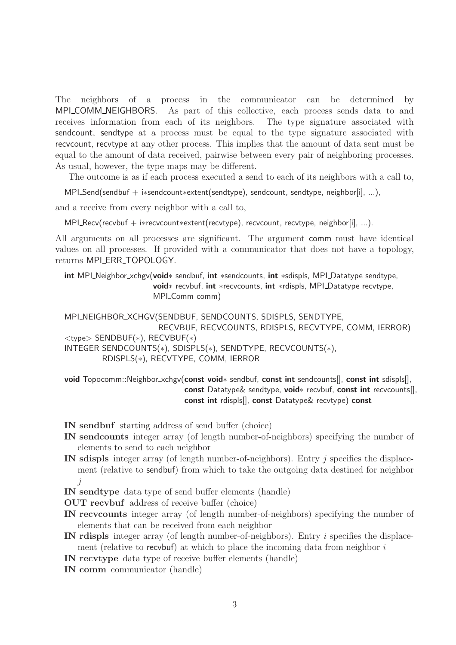The neighbors of a process in the communicator can be determined by MPI COMM NEIGHBORS. As part of this collective, each process sends data to and receives information from each of its neighbors. The type signature associated with sendcount, sendtype at a process must be equal to the type signature associated with recvcount, recvtype at any other process. This implies that the amount of data sent must be equal to the amount of data received, pairwise between every pair of neighboring processes. As usual, however, the type maps may be different.

The outcome is as if each process executed a send to each of its neighbors with a call to,

MPI\_Send(sendbuf + i\*sendcount\*extent(sendtype), sendcount, sendtype, neighbor[i], ...),

and a receive from every neighbor with a call to,

MPI Recv(recvbuf + i\*recvcount\*extent(recvtype), recvcount, recvtype, neighbor[i], ...).

All arguments on all processes are significant. The argument comm must have identical values on all processes. If provided with a communicator that does not have a topology, returns MPI\_ERR\_TOPOLOGY.

int MPI\_Neighbor\_xchgv(void∗ sendbuf, int ∗sendcounts, int ∗sdispls, MPI\_Datatype sendtype, void∗ recvbuf, int ∗recvcounts, int ∗rdispls, MPI Datatype recvtype, MPI\_Comm comm)

MPI\_NEIGHBOR\_XCHGV(SENDBUF, SENDCOUNTS, SDISPLS, SENDTYPE, RECVBUF, RECVCOUNTS, RDISPLS, RECVTYPE, COMM, IERROR) <type> SENDBUF(∗), RECVBUF(∗) INTEGER SENDCOUNTS(∗), SDISPLS(∗), SENDTYPE, RECVCOUNTS(∗), RDISPLS(\*), RECVTYPE, COMM, IERROR

void Topocomm::Neighbor\_xchgv(const void∗ sendbuf, const int sendcounts[], const int sdispls[], const Datatype& sendtype, void∗ recvbuf, const int recvcounts[], const int rdispls[], const Datatype& recvtype) const

IN sendbuf starting address of send buffer (choice)

- IN sendcounts integer array (of length number-of-neighbors) specifying the number of elements to send to each neighbor
- IN sdispls integer array (of length number-of-neighbors). Entry j specifies the displacement (relative to sendbuf) from which to take the outgoing data destined for neighbor j

IN sendtype data type of send buffer elements (handle)

OUT recvbuf address of receive buffer (choice)

- IN recvcounts integer array (of length number-of-neighbors) specifying the number of elements that can be received from each neighbor
- IN rdispls integer array (of length number-of-neighbors). Entry i specifies the displacement (relative to recvbust) at which to place the incoming data from neighbor  $i$
- IN recvtype data type of receive buffer elements (handle)

IN comm communicator (handle)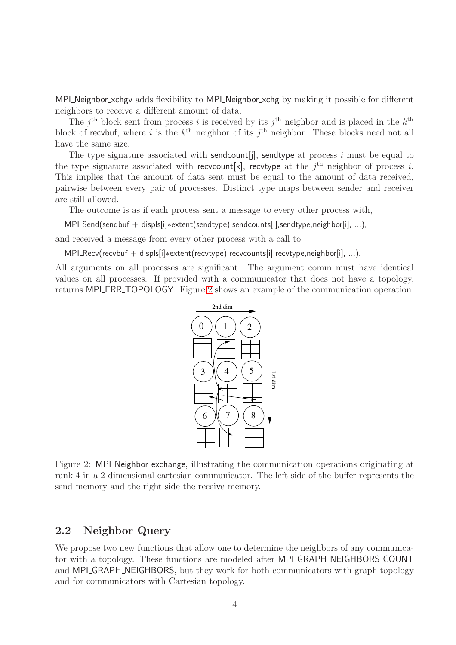MPI\_Neighbor\_xchgv adds flexibility to MPI\_Neighbor\_xchg by making it possible for different neighbors to receive a different amount of data.

The j<sup>th</sup> block sent from process i is received by its j<sup>th</sup> neighbor and is placed in the  $k^{\text{th}}$ block of recvbuf, where i is the  $k^{\text{th}}$  neighbor of its  $j^{\text{th}}$  neighbor. These blocks need not all have the same size.

The type signature associated with sendcount [j], sendtype at process  $i$  must be equal to the type signature associated with recvcount [k], recvtype at the  $j<sup>th</sup>$  neighbor of process i. This implies that the amount of data sent must be equal to the amount of data received, pairwise between every pair of processes. Distinct type maps between sender and receiver are still allowed.

The outcome is as if each process sent a message to every other process with,

MPI\_Send(sendbuf + displs[i]∗extent(sendtype),sendcounts[i],sendtype,neighbor[i], ...),

and received a message from every other process with a call to

MPI\_Recv(recvbuf + displs[i]∗extent(recvtype),recvcounts[i],recvtype,neighbor[i], ...).

All arguments on all processes are significant. The argument comm must have identical values on all processes. If provided with a communicator that does not have a topology, returns MPI ERR\_TOPOLOGY. Figure [2](#page-3-0) shows an example of the communication operation.



<span id="page-3-0"></span>Figure 2: MPI Neighbor exchange, illustrating the communication operations originating at rank 4 in a 2-dimensional cartesian communicator. The left side of the buffer represents the send memory and the right side the receive memory.

#### 2.2 Neighbor Query

We propose two new functions that allow one to determine the neighbors of any communicator with a topology. These functions are modeled after MPI GRAPH NEIGHBORS COUNT and MPI\_GRAPH\_NEIGHBORS, but they work for both communicators with graph topology and for communicators with Cartesian topology.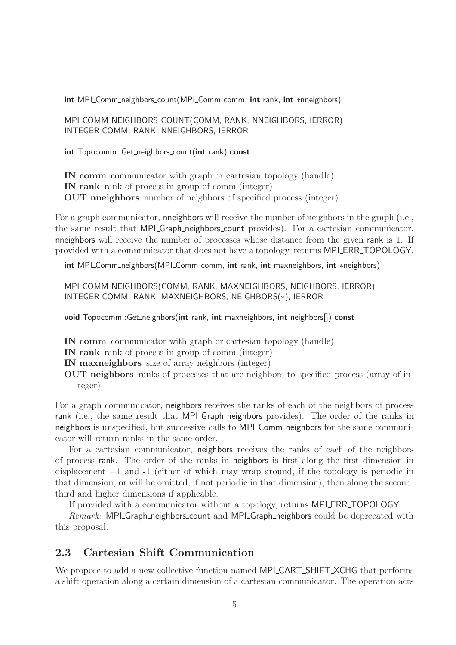int MPI\_Comm\_neighbors\_count(MPI\_Comm comm, int rank, int ∗nneighbors)

MPI\_COMM\_NEIGHBORS\_COUNT(COMM, RANK, NNEIGHBORS, IERROR) INTEGER COMM, RANK, NNEIGHBORS, IERROR

int Topocomm::Get neighbors count(int rank) const

IN comm communicator with graph or cartesian topology (handle) IN rank rank of process in group of comm (integer) OUT nneighbors number of neighbors of specified process (integer)

For a graph communicator, nneighbors will receive the number of neighbors in the graph (i.e., the same result that MPI Graph neighbors count provides). For a cartesian communicator, nneighbors will receive the number of processes whose distance from the given rank is 1. If provided with a communicator that does not have a topology, returns MPI ERR TOPOLOGY.

int MPI\_Comm\_neighbors(MPI\_Comm comm, int rank, int maxneighbors, int ∗neighbors)

MPI\_COMM\_NEIGHBORS(COMM, RANK, MAXNEIGHBORS, NEIGHBORS, IERROR) INTEGER COMM, RANK, MAXNEIGHBORS, NEIGHBORS(∗), IERROR

void Topocomm::Get neighbors(int rank, int maxneighbors, int neighbors[]) const

IN comm communicator with graph or cartesian topology (handle)

- IN rank rank of process in group of comm (integer)
- IN maxneighbors size of array neighbors (integer)
- OUT neighbors ranks of processes that are neighbors to specified process (array of integer)

For a graph communicator, neighbors receives the ranks of each of the neighbors of process rank (i.e., the same result that MPI Graph neighbors provides). The order of the ranks in neighbors is unspecified, but successive calls to MPI Comm neighbors for the same communicator will return ranks in the same order.

For a cartesian communicator, neighbors receives the ranks of each of the neighbors of process rank. The order of the ranks in neighbors is first along the first dimension in displacement +1 and -1 (either of which may wrap around, if the topology is periodic in that dimension, or will be omitted, if not periodic in that dimension), then along the second, third and higher dimensions if applicable.

If provided with a communicator without a topology, returns MPI ERR TOPOLOGY.

Remark: MPI Graph neighbors count and MPI Graph neighbors could be deprecated with this proposal.

### 2.3 Cartesian Shift Communication

We propose to add a new collective function named MPI CART SHIFT XCHG that performs a shift operation along a certain dimension of a cartesian communicator. The operation acts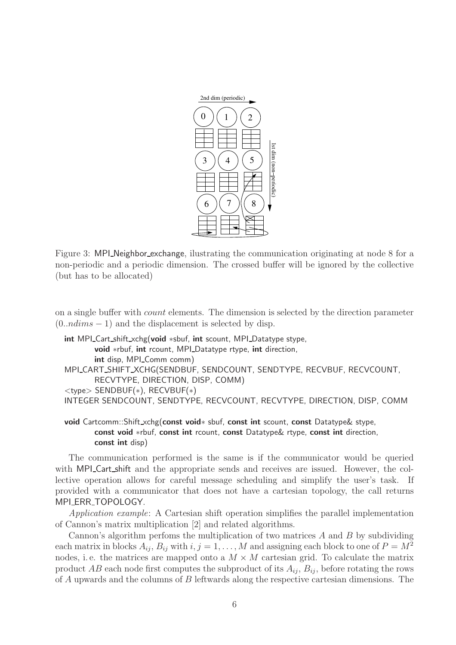

Figure 3: MPI Neighbor exchange, ilustrating the communication originating at node 8 for a non-periodic and a periodic dimension. The crossed buffer will be ignored by the collective (but has to be allocated)

on a single buffer with count elements. The dimension is selected by the direction parameter  $(0.ndims - 1)$  and the displacement is selected by disp.

```
int MPI_Cart_shift_xchg(void *sbuf, int scount, MPI_Datatype stype,
       void *rbuf, int rcount, MPI_Datatype rtype, int direction,
       int disp, MPI_Comm comm)
MPI_CART_SHIFT_XCHG(SENDBUF, SENDCOUNT, SENDTYPE, RECVBUF, RECVCOUNT,
       RECVTYPE, DIRECTION, DISP, COMM)
<type> SENDBUF(∗), RECVBUF(∗)
INTEGER SENDCOUNT, SENDTYPE, RECVCOUNT, RECVTYPE, DIRECTION, DISP, COMM
```
void Cartcomm::Shift\_xchg(const void<sup>\*</sup> sbuf, const int scount, const Datatype& stype, const void ∗rbuf, const int rcount, const Datatype& rtype, const int direction, const int disp)

The communication performed is the same is if the communicator would be queried with MPI Cart shift and the appropriate sends and receives are issued. However, the collective operation allows for careful message scheduling and simplify the user's task. If provided with a communicator that does not have a cartesian topology, the call returns MPILERR\_TOPOLOGY.

Application example: A Cartesian shift operation simplifies the parallel implementation of Cannon's matrix multiplication [2] and related algorithms.

Cannon's algorithm perfoms the multiplication of two matrices  $A$  and  $B$  by subdividing each matrix in blocks  $A_{ij}$ ,  $B_{ij}$  with  $i, j = 1, ..., M$  and assigning each block to one of  $P = M^2$ nodes, i.e. the matrices are mapped onto a  $M \times M$  cartesian grid. To calculate the matrix product AB each node first computes the subproduct of its  $A_{ij}$ ,  $B_{ij}$ , before rotating the rows of A upwards and the columns of B leftwards along the respective cartesian dimensions. The